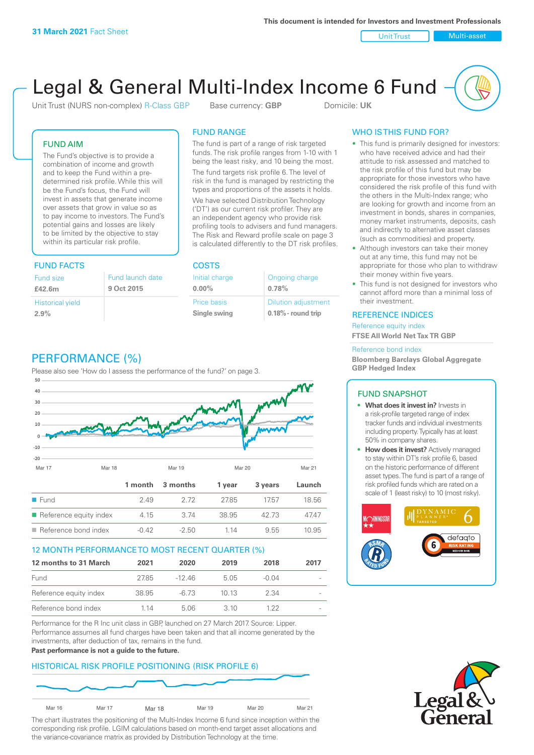Unit Trust Nulti-asset

# Legal & General Multi-Index Income 6 Fund

Unit Trust (NURS non-complex) R-Class GBP Base currency: **GBP** Domicile: UK

# FUND AIM

The Fund's objective is to provide a combination of income and growth and to keep the Fund within a predetermined risk profile. While this will be the Fund's focus, the Fund will invest in assets that generate income over assets that grow in value so as to pay income to investors. The Fund's potential gains and losses are likely to be limited by the objective to stay within its particular risk profile.

# FUND FACTS COSTS

| Fund size<br>£42.6m     | Fund launch date<br>9 Oct 2015 |
|-------------------------|--------------------------------|
| <b>Historical yield</b> |                                |
| 2.9%                    |                                |

# FUND RANGE

The fund is part of a range of risk targeted funds. The risk profile ranges from 1-10 with 1 being the least risky, and 10 being the most.

The fund targets risk profile 6. The level of risk in the fund is managed by restricting the types and proportions of the assets it holds. We have selected Distribution Technology ('DT') as our current risk profiler. They are an independent agency who provide risk profiling tools to advisers and fund managers. The Risk and Reward profile scale on page 3 is calculated differently to the DT risk profiles.

| Initial charge | Ongoing charge             |
|----------------|----------------------------|
| $0.00\%$       | 0.78%                      |
| Price basis    | <b>Dilution adjustment</b> |
| Single swing   | $0.18\%$ - round trip      |

# PERFORMANCE (%)

Please also see 'How do I assess the performance of the fund?' on page 3.



# 12 MONTH PERFORMANCE TO MOST RECENT QUARTER (%)

| 12 months to 31 March  | 2021  | 2020  | 2019 | 2018    | 2017 |
|------------------------|-------|-------|------|---------|------|
| Fund                   | 2785  | -1246 | 505  | $-0.04$ |      |
| Reference equity index | 38.95 | -6.73 | 1013 | 2.34    |      |
| Reference bond index   | 1 14  | 5.06  | 3 10 | 1 22    |      |

Performance for the R Inc unit class in GBP, launched on 27 March 2017. Source: Lipper. Performance assumes all fund charges have been taken and that all income generated by the investments, after deduction of tax, remains in the fund.

#### **Past performance is not a guide to the future.**

# HISTORICAL RISK PROFILE POSITIONING (RISK PROFILE 6)



The chart illustrates the positioning of the Multi-Index Income 6 fund since inception within the corresponding risk profile. LGIM calculations based on month-end target asset allocations and the variance-covariance matrix as provided by Distribution Technology at the time.

# WHO IS THIS FUND FOR?

- This fund is primarily designed for investors: who have received advice and had their attitude to risk assessed and matched to the risk profile of this fund but may be appropriate for those investors who have considered the risk profile of this fund with the others in the Multi-Index range; who are looking for growth and income from an investment in bonds, shares in companies, money market instruments, deposits, cash and indirectly to alternative asset classes (such as commodities) and property.
- Although investors can take their money out at any time, this fund may not be appropriate for those who plan to withdraw their money within five years.
- This fund is not designed for investors who cannot afford more than a minimal loss of their investment.

# REFERENCE INDICES

Reference equity index **FTSE All World Net Tax TR GBP**

#### Reference bond index

**Bloomberg Barclays Global Aggregate GBP Hedged Index**

# FUND SNAPSHOT

- **• What does it invest in?** Invests in a risk-profile targeted range of index tracker funds and individual investments including property. Typically has at least 50% in company shares.
- **• How does it invest?** Actively managed to stay within DT's risk profile 6, based on the historic performance of different asset types. The fund is part of a range of risk profiled funds which are rated on a scale of 1 (least risky) to 10 (most risky).



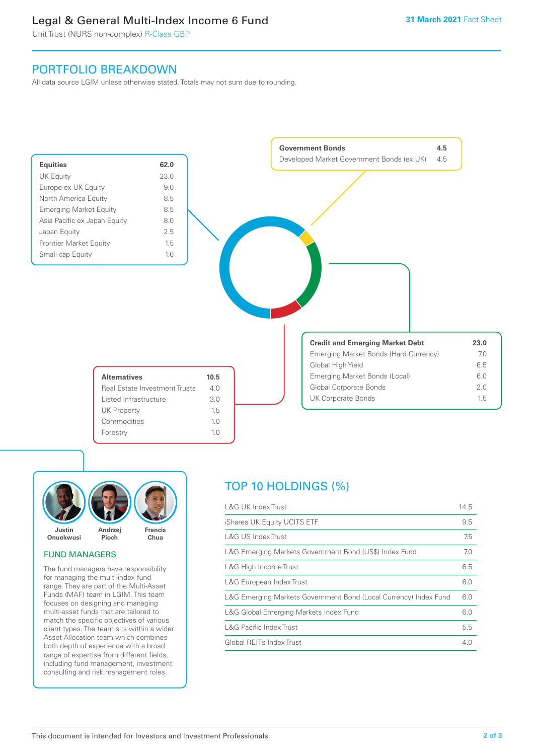# Legal & General Multi-Index Income 6 Fund

Unit Trust (NURS non-complex) R-Class GBP

# PORTFOLIO BREAKDOWN

All data source LGIM unless otherwise stated. Totals may not sum due to rounding.





# FUND MANAGERS

The fund managers have responsibility for managing the multi-index fund range. They are part of the Multi-Asset Funds (MAF) team in LGIM. This team focuses on designing and managing multi-asset funds that are tailored to match the specific objectives of various client types. The team sits within a wider Asset Allocation team which combines both depth of experience with a broad range of expertise from different fields, including fund management, investment consulting and risk management roles.

# TOP 10 HOLDINGS (%)

| <b>L&amp;G UK Index Trust</b>                                    | 14.5 |
|------------------------------------------------------------------|------|
| iShares UK Equity UCITS ETF                                      | 9.5  |
| L&G US Index Trust                                               | 7.5  |
| L&G Emerging Markets Government Bond (US\$) Index Fund           | 7.0  |
| L&G High Income Trust                                            | 6.5  |
| L&G European Index Trust                                         | 6.0  |
| L&G Emerging Markets Government Bond (Local Currency) Index Fund | 6.0  |
| L&G Global Emerging Markets Index Fund                           | 6.0  |
| <b>L&amp;G Pacific Index Trust</b>                               | 5.5  |
| Global REITs Index Trust                                         | 4.0  |